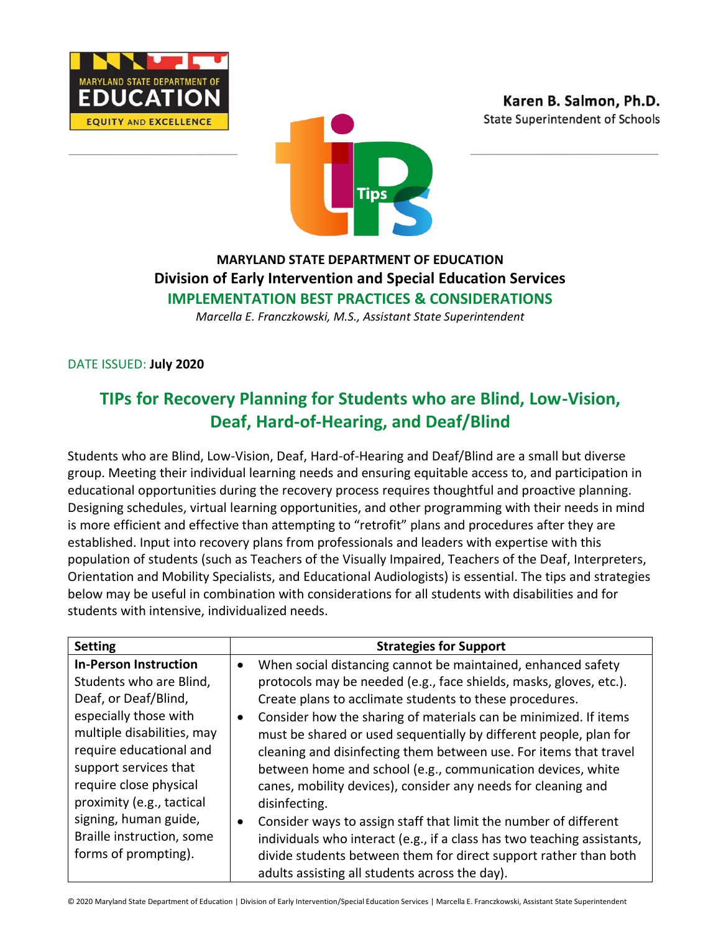





## **MARYLAND STATE DEPARTMENT OF EDUCATION Division of Early Intervention and Special Education Services IMPLEMENTATION BEST PRACTICES & CONSIDERATIONS**

*Marcella E. Franczkowski, M.S., Assistant State Superintendent*

DATE ISSUED: **July 2020**

# **TIPs for Recovery Planning for Students who are Blind, Low-Vision, Deaf, Hard-of-Hearing, and Deaf/Blind**

Students who are Blind, Low-Vision, Deaf, Hard-of-Hearing and Deaf/Blind are a small but diverse group. Meeting their individual learning needs and ensuring equitable access to, and participation in educational opportunities during the recovery process requires thoughtful and proactive planning. Designing schedules, virtual learning opportunities, and other programming with their needs in mind is more efficient and effective than attempting to "retrofit" plans and procedures after they are established. Input into recovery plans from professionals and leaders with expertise with this population of students (such as Teachers of the Visually Impaired, Teachers of the Deaf, Interpreters, Orientation and Mobility Specialists, and Educational Audiologists) is essential. The tips and strategies below may be useful in combination with considerations for all students with disabilities and for students with intensive, individualized needs.

| <b>Setting</b>               | <b>Strategies for Support</b>                                                 |
|------------------------------|-------------------------------------------------------------------------------|
| <b>In-Person Instruction</b> | When social distancing cannot be maintained, enhanced safety<br>$\bullet$     |
| Students who are Blind,      | protocols may be needed (e.g., face shields, masks, gloves, etc.).            |
| Deaf, or Deaf/Blind,         | Create plans to acclimate students to these procedures.                       |
| especially those with        | Consider how the sharing of materials can be minimized. If items<br>$\bullet$ |
| multiple disabilities, may   | must be shared or used sequentially by different people, plan for             |
| require educational and      | cleaning and disinfecting them between use. For items that travel             |
| support services that        | between home and school (e.g., communication devices, white                   |
| require close physical       | canes, mobility devices), consider any needs for cleaning and                 |
| proximity (e.g., tactical    | disinfecting.                                                                 |
| signing, human guide,        | Consider ways to assign staff that limit the number of different              |
| Braille instruction, some    | individuals who interact (e.g., if a class has two teaching assistants,       |
| forms of prompting).         | divide students between them for direct support rather than both              |
|                              | adults assisting all students across the day).                                |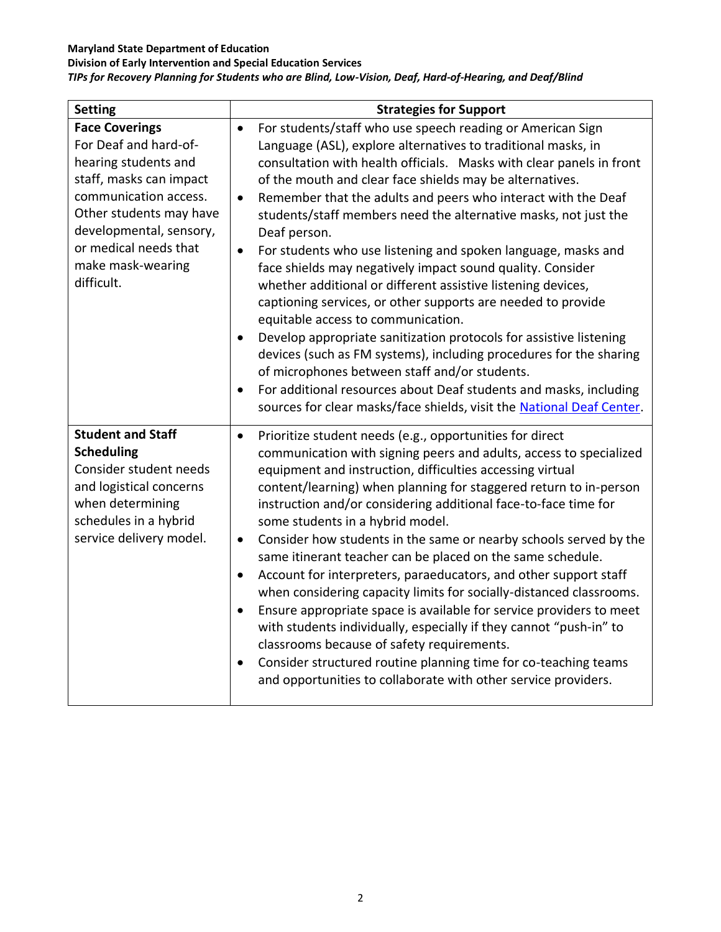### **Maryland State Department of Education**

**Division of Early Intervention and Special Education Services**

*TIPs for Recovery Planning for Students who are Blind, Low-Vision, Deaf, Hard-of-Hearing, and Deaf/Blind*

| <b>Setting</b>                                                                                                                                                                                                                               | <b>Strategies for Support</b>                                                                                                                                                                                                                                                                                                                                                                                                                                                                                                                                                                                                                                                                                                                                                                                                                                                                                                                                                                                                                                                                                           |
|----------------------------------------------------------------------------------------------------------------------------------------------------------------------------------------------------------------------------------------------|-------------------------------------------------------------------------------------------------------------------------------------------------------------------------------------------------------------------------------------------------------------------------------------------------------------------------------------------------------------------------------------------------------------------------------------------------------------------------------------------------------------------------------------------------------------------------------------------------------------------------------------------------------------------------------------------------------------------------------------------------------------------------------------------------------------------------------------------------------------------------------------------------------------------------------------------------------------------------------------------------------------------------------------------------------------------------------------------------------------------------|
| <b>Face Coverings</b><br>For Deaf and hard-of-<br>hearing students and<br>staff, masks can impact<br>communication access.<br>Other students may have<br>developmental, sensory,<br>or medical needs that<br>make mask-wearing<br>difficult. | For students/staff who use speech reading or American Sign<br>$\bullet$<br>Language (ASL), explore alternatives to traditional masks, in<br>consultation with health officials. Masks with clear panels in front<br>of the mouth and clear face shields may be alternatives.<br>Remember that the adults and peers who interact with the Deaf<br>$\bullet$<br>students/staff members need the alternative masks, not just the<br>Deaf person.<br>For students who use listening and spoken language, masks and<br>$\bullet$<br>face shields may negatively impact sound quality. Consider<br>whether additional or different assistive listening devices,<br>captioning services, or other supports are needed to provide<br>equitable access to communication.<br>Develop appropriate sanitization protocols for assistive listening<br>$\bullet$<br>devices (such as FM systems), including procedures for the sharing<br>of microphones between staff and/or students.<br>For additional resources about Deaf students and masks, including<br>sources for clear masks/face shields, visit the National Deaf Center. |
| <b>Student and Staff</b><br><b>Scheduling</b><br>Consider student needs<br>and logistical concerns<br>when determining<br>schedules in a hybrid<br>service delivery model.                                                                   | Prioritize student needs (e.g., opportunities for direct<br>$\bullet$<br>communication with signing peers and adults, access to specialized<br>equipment and instruction, difficulties accessing virtual<br>content/learning) when planning for staggered return to in-person<br>instruction and/or considering additional face-to-face time for<br>some students in a hybrid model.<br>Consider how students in the same or nearby schools served by the<br>$\bullet$<br>same itinerant teacher can be placed on the same schedule.<br>Account for interpreters, paraeducators, and other support staff<br>$\bullet$<br>when considering capacity limits for socially-distanced classrooms.<br>Ensure appropriate space is available for service providers to meet<br>with students individually, especially if they cannot "push-in" to<br>classrooms because of safety requirements.<br>Consider structured routine planning time for co-teaching teams<br>$\bullet$<br>and opportunities to collaborate with other service providers.                                                                               |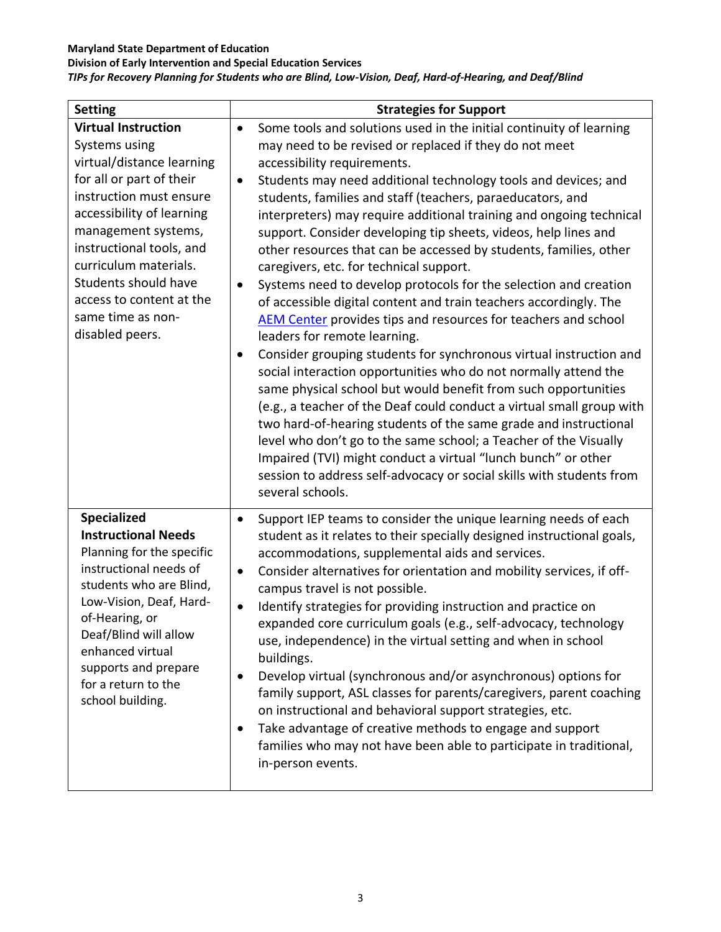### **Maryland State Department of Education**

**Division of Early Intervention and Special Education Services**

*TIPs for Recovery Planning for Students who are Blind, Low-Vision, Deaf, Hard-of-Hearing, and Deaf/Blind*

| <b>Setting</b>                                                                                                                                                                                                                                                                                                                       | <b>Strategies for Support</b>                                                                                                                                                                                                                                                                                                                                                                                                                                                                                                                                                                                                                                                                                                                                                                                                                                                                                                                                                                                                                                                                                                                                                                                                                                                                                                                                                                                                                  |
|--------------------------------------------------------------------------------------------------------------------------------------------------------------------------------------------------------------------------------------------------------------------------------------------------------------------------------------|------------------------------------------------------------------------------------------------------------------------------------------------------------------------------------------------------------------------------------------------------------------------------------------------------------------------------------------------------------------------------------------------------------------------------------------------------------------------------------------------------------------------------------------------------------------------------------------------------------------------------------------------------------------------------------------------------------------------------------------------------------------------------------------------------------------------------------------------------------------------------------------------------------------------------------------------------------------------------------------------------------------------------------------------------------------------------------------------------------------------------------------------------------------------------------------------------------------------------------------------------------------------------------------------------------------------------------------------------------------------------------------------------------------------------------------------|
| <b>Virtual Instruction</b><br>Systems using<br>virtual/distance learning<br>for all or part of their<br>instruction must ensure<br>accessibility of learning<br>management systems,<br>instructional tools, and<br>curriculum materials.<br>Students should have<br>access to content at the<br>same time as non-<br>disabled peers. | Some tools and solutions used in the initial continuity of learning<br>$\bullet$<br>may need to be revised or replaced if they do not meet<br>accessibility requirements.<br>Students may need additional technology tools and devices; and<br>$\bullet$<br>students, families and staff (teachers, paraeducators, and<br>interpreters) may require additional training and ongoing technical<br>support. Consider developing tip sheets, videos, help lines and<br>other resources that can be accessed by students, families, other<br>caregivers, etc. for technical support.<br>Systems need to develop protocols for the selection and creation<br>$\bullet$<br>of accessible digital content and train teachers accordingly. The<br>AEM Center provides tips and resources for teachers and school<br>leaders for remote learning.<br>Consider grouping students for synchronous virtual instruction and<br>$\bullet$<br>social interaction opportunities who do not normally attend the<br>same physical school but would benefit from such opportunities<br>(e.g., a teacher of the Deaf could conduct a virtual small group with<br>two hard-of-hearing students of the same grade and instructional<br>level who don't go to the same school; a Teacher of the Visually<br>Impaired (TVI) might conduct a virtual "lunch bunch" or other<br>session to address self-advocacy or social skills with students from<br>several schools. |
| Specialized<br><b>Instructional Needs</b><br>Planning for the specific<br>instructional needs of<br>students who are Blind,<br>Low-Vision, Deaf, Hard-<br>of-Hearing, or<br>Deaf/Blind will allow<br>enhanced virtual<br>supports and prepare<br>for a return to the<br>school building.                                             | Support IEP teams to consider the unique learning needs of each<br>$\bullet$<br>student as it relates to their specially designed instructional goals,<br>accommodations, supplemental aids and services.<br>Consider alternatives for orientation and mobility services, if off-<br>$\bullet$<br>campus travel is not possible.<br>Identify strategies for providing instruction and practice on<br>$\bullet$<br>expanded core curriculum goals (e.g., self-advocacy, technology<br>use, independence) in the virtual setting and when in school<br>buildings.<br>Develop virtual (synchronous and/or asynchronous) options for<br>$\bullet$<br>family support, ASL classes for parents/caregivers, parent coaching<br>on instructional and behavioral support strategies, etc.<br>Take advantage of creative methods to engage and support<br>٠<br>families who may not have been able to participate in traditional,<br>in-person events.                                                                                                                                                                                                                                                                                                                                                                                                                                                                                                   |